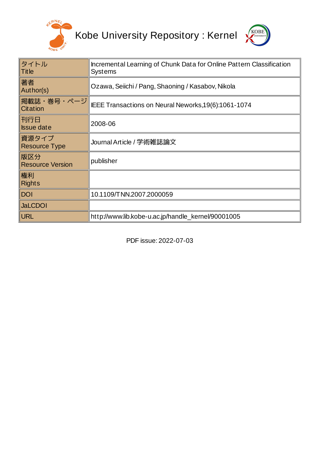



| タイトル<br><b>Title</b>           | Incremental Learning of Chunk Data for Online Pattern Classification<br><b>Systems</b> |
|--------------------------------|----------------------------------------------------------------------------------------|
| 著者<br>Author(s)                | Ozawa, Seiichi / Pang, Shaoning / Kasabov, Nikola                                      |
| 掲載誌・巻号・ページ<br>Citation         | IEEE Transactions on Neural Neworks, 19(6): 1061-1074                                  |
| 刊行日<br><b>Issue date</b>       | 2008-06                                                                                |
| 資源タイプ<br><b>Resource Type</b>  | Journal Article / 学術雑誌論文                                                               |
| 版区分<br><b>Resource Version</b> | publisher                                                                              |
| 権利<br><b>Rights</b>            |                                                                                        |
| <b>DOI</b>                     | 10.1109/TNN.2007.2000059                                                               |
| <b>JaLCDOI</b>                 |                                                                                        |
| <b>URL</b>                     | http://www.lib.kobe-u.ac.jp/handle kernel/90001005                                     |

PDF issue: 2022-07-03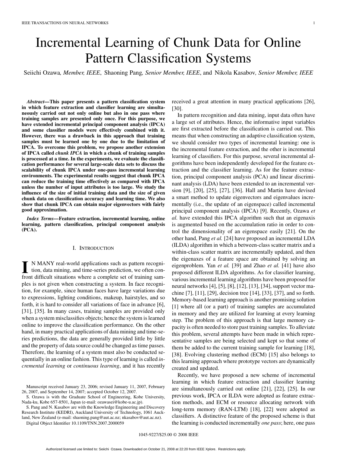# Incremental Learning of Chunk Data for Online Pattern Classification Systems

Seiichi Ozawa*, Member, IEEE*, Shaoning Pang*, Senior Member, IEEE*, and Nikola Kasabov*, Senior Member, IEEE*

*Abstract—***This paper presents a pattern classification system in which feature extraction and classifier learning are simultaneously carried out not only online but also in one pass where training samples are presented only once. For this purpose, we have extended incremental principal component analysis (IPCA) and some classifier models were effectively combined with it. However, there was a drawback in this approach that training samples must be learned one by one due to the limitation of IPCA. To overcome this problem, we propose another extension of IPCA called** *chunk IPCA* **in which a chunk of training samples is processed at a time. In the experiments, we evaluate the classification performance for several large-scale data sets to discuss the scalability of chunk IPCA under one-pass incremental learning environments. The experimental results suggest that chunk IPCA can reduce the training time effectively as compared with IPCA unless the number of input attributes is too large. We study the influence of the size of initial training data and the size of given chunk data on classification accuracy and learning time. We also show that chunk IPCA can obtain major eigenvectors with fairly good approximation.**

*Index Terms—***Feature extraction, incremental learning, online learning, pattern classification, principal component analysis (PCA).**

### I. INTRODUCTION

II N MANY real-world applications such as pattern recognition, data mining, and time-series prediction, we often con-<br>front difficult city interiors where a complete set of training some front difficult situations where a complete set of training samples is not given when constructing a system. In face recognition, for example, since human faces have large variations due to expressions, lighting conditions, makeup, hairstyles, and so forth, it is hard to consider all variations of face in advance [6], [31], [35]. In many cases, training samples are provided only when a system misclassifies objects; hence the system is learned online to improve the classification performance. On the other hand, in many practical applications of data mining and time-series predictions, the data are generally provided little by little and the property of data source could be changed as time passes. Therefore, the learning of a system must also be conducted sequentially in an online fashion. This type of learning is called *incremental learning* or *continuous learning*, and it has recently

S. Ozawa is with the Graduate School of Engineering, Kobe University, Nada-ku, Kobe 657-8501, Japan (e-mail: ozawasei@kobe-u.ac.jp).

S. Pang and N. Kasabov are with the Knowledge Engineering and Discovery Research Institute (KEDRI), Auckland University of Technology, 1061 Auckland, New Zealand (e-mail: shaoning.pang@aut.ac.nz; nkasabov@aut.ac.nz).

Digital Object Identifier 10.1109/TNN.2007.2000059

received a great attention in many practical applications [26], [30].

In pattern recognition and data mining, input data often have a large set of attributes. Hence, the informative input variables are first extracted before the classification is carried out. This means that when constructing an adaptive classification system, we should consider two types of incremental learning: one is the incremental feature extraction, and the other is incremental learning of classifiers. For this purpose, several incremental algorithms have been independently developed for the feature extraction and the classifier learning. As for the feature extraction, principal component analysis (PCA) and linear discriminant analysis (LDA) have been extended to an incremental version [9], [20], [25], [27], [36]. Hall and Martin have devised a smart method to update eigenvectors and eigenvalues incrementally (i.e., the update of an eigenspace) called incremental principal component analysis (IPCA) [9]. Recently, Ozawa *et al.* have extended this IPCA algorithm such that an eigenaxis is augmented based on the accumulation ratio in order to control the dimensionality of an eigenspace easily [21]. On the other hand, Pang *et al.* [24] have proposed an incremental LDA (ILDA) algorithm in which a between-class scatter matrix and a within-class scatter matrix are incrementally updated, and then the eigenaxes of a feature space are obtained by solving an eigenproblem. Yan *et al.* [39] and Zhao *et al.* [41] have also proposed different ILDA algorithms. As for classifier learning, various incremental learning algorithms have been proposed for neural networks [4], [5], [8], [12], [13], [34], support vector machine [7], [11], [29], decision tree [14], [33], [37], and so forth. Memory-based learning approach is another promising solution [1] where all (or a part) of training samples are accumulated in memory and they are utilized for learning at every learning step. The problem of this approach is that large memory capacity is often needed to store past training samples. To alleviate this problem, several attempts have been made in which representative samples are being selected and kept so that some of them be added to the current training sample for learning [18], [38]. Evolving clustering method (ECM) [15] also belongs to this learning approach where prototype vectors are dynamically created and updated.

Recently, we have proposed a new scheme of incremental learning in which feature extraction and classifier learning are simultaneously carried out online [21], [22], [25]. In our previous work, IPCA or ILDA were adopted as feature extraction methods, and ECM or resource allocating network with long-term memory (RAN-LTM) [18], [22] were adopted as classifiers. A distinctive feature of the proposed scheme is that the learning is conducted incrementally *one pass*; here, one pass

Manuscript received January 23, 2006; revised January 11, 2007, February 26, 2007, and September 14, 2007; accepted October 12, 2007.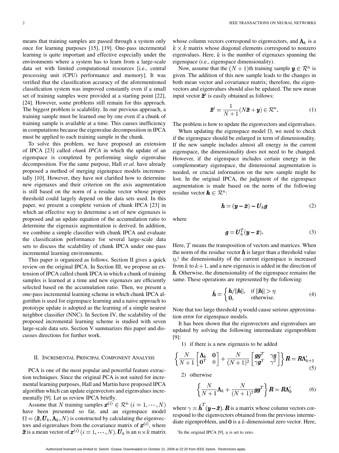means that training samples are passed through a system only once for learning purposes [15], [19]. One-pass incremental learning is quite important and effective especially under the environments where a system has to learn from a large-scale data set with limited computational resources [i.e., central processing unit (CPU) performance and memory]. It was verified that the classification accuracy of the aforementioned classification system was improved constantly even if a small set of training samples were provided at a starting point [22], [24]. However, some problems still remain for this approach. The biggest problem is scalability. In our previous approach, a training sample must be learned one by one even if a chunk of training sample is available at a time. This causes inefficiency in computations because the eigenvalue decomposition in IPCA must be applied to each training sample in the chunk.

To solve this problem, we have proposed an extension of IPCA [23] called *chunk IPCA* in which the update of an eigenspace is completed by performing single eigenvalue decomposition. For the same purpose, Hall *et al.* have already proposed a method of merging eigenspace models incrementally [10]. However, they have not clarified how to determine new eigenaxes and their criterion on the axis augmentation is still based on the norm of a residue vector whose proper threshold could largely depend on the data sets used. In this paper, we present a complete version of chunk IPCA [23] in which an effective way to determine a set of new eigenaxes is proposed and an update equation of the accumulation ratio to determine the eigenaxis augmentation is derived. In addition, we combine a simple classifier with chunk IPCA and evaluate the classification performance for several large-scale data sets to discuss the scalability of chunk IPCA under one-pass incremental learning environments.

This paper is organized as follows. Section II gives a quick review on the original IPCA. In Section III, we propose an extension of IPCA called chunk IPCA in which a chunk of training samples is learned at a time and new eigenaxes are efficiently selected based on the accumulation ratio. Then, we present a one-pass incremental learning scheme in which chunk IPCA algorithm is used for eigenspace learning and a naive approach to prototype update is adopted as the learning of a simple nearest neighbor classifier (NNC). In Section IV, the scalability of the proposed incremental learning scheme is studied with seven large-scale data sets. Section V summarizes this paper and discusses directions for further work.

## II. INCREMENTAL PRINCIPAL COMPONENT ANALYSIS

PCA is one of the most popular and powerful feature extraction techniques. Since the original PCA is not suited for incremental learning purposes, Hall and Martin have proposed IPCA algorithm which can update eigenvectors and eigenvalues incrementally [9]. Let us review IPCA briefly.

Assume that N training samples  $\mathbf{x}^{(i)} \in \mathcal{R}^n$   $(i = 1, \dots, N)$ have been presented so far, and an eigenspace model  $\Omega = (\bar{x}, U_k, \Lambda_k, N)$  is constructed by calculating the eigenvectors and eigenvalues from the covariance matrix of  $x^{(i)}$ , where  $\boldsymbol{\bar{x}}$  is a mean vector of  $\boldsymbol{x}^{(i)}$   $(i=1,\cdots,N)$ ,  $\boldsymbol{U}_k$  is an  $n\times k$  matrix

whose column vectors correspond to eigenvectors, and  $\Lambda_k$  is a  $k \times k$  matrix whose diagonal elements correspond to nonzero eigenvalues. Here,  $k$  is the number of eigenaxes spanning the eigenspace (i.e., eigenspace dimensionality).

Now, assume that the  $(N + 1)$ th training sample  $y \in \mathbb{R}^n$  is given. The addition of this new sample leads to the changes in both mean vector and covariance matrix; therefore, the eigenvectors and eigenvalues should also be updated. The new mean input vector  $\bar{x}'$  is easily obtained as follows:

$$
\bar{\boldsymbol{x}}' = \frac{1}{N+1} (N\bar{\boldsymbol{x}} + \boldsymbol{y}) \in \mathcal{R}^n.
$$
 (1)

The problem is how to update the eigenvectors and eigenvalues.

When updating the eigenspace model  $\Omega$ , we need to check if the eigenspace should be enlarged in term of dimensionality. If the new sample includes almost all energy in the current eigenspace, the dimensionality does not need to be changed. However, if the eigenspace includes certain energy in the complementary eigenspace, the dimensional augmentation is needed, or crucial information on the new sample might be lost. In the original IPCA, the judgment of the eigenspace augmentation is made based on the norm of the following residue vector  $h \in \mathcal{R}^n$ :

$$
\boldsymbol{h} = (\boldsymbol{y} - \boldsymbol{\bar{x}}) - \boldsymbol{U}_k \boldsymbol{g} \tag{2}
$$

where

$$
\mathbf{g} = \mathbf{U}_k^T (\mathbf{y} - \bar{\mathbf{x}}).
$$
 (3)

Here,  $T$  means the transposition of vectors and matrices. When the norm of the residue vector  $\boldsymbol{h}$  is larger than a threshold value  $\eta$ <sup>1</sup>, the dimensionality of the current eigenspace is increased from  $k$  to  $k+1$ , and a new eigenaxis is added in the direction of  $h$ . Otherwise, the dimensionality of the eigenspace remains the same. These operations are represented by the following:

$$
\hat{\boldsymbol{h}} = \begin{cases} \|\boldsymbol{h}/\|\boldsymbol{h}\|, & \text{if } \|\boldsymbol{h}\| > \eta \\ 0, & \text{otherwise.} \end{cases} \tag{4}
$$

Note that too large threshold  $\eta$  would cause serious approximation error for eigenspace models.

It has been shown that the eigenvectors and eigenvalues are updated by solving the following intermediate eigenproblem [9]:

1) if there is a new eigenaxis to be added

$$
\left\{\frac{N}{N+1}\begin{bmatrix} \mathbf{\Lambda}_k & \mathbf{0} \\ \mathbf{0}^T & 0 \end{bmatrix} + \frac{N}{(N+1)^2} \begin{bmatrix} \mathbf{g}\mathbf{g}^T & \gamma\mathbf{g} \\ \gamma\mathbf{g}^T & \gamma^2 \end{bmatrix} \right\} \mathbf{R} = \mathbf{R}\Lambda'_{k+1}
$$
\n(5)

$$
\left\{\frac{N}{N+1}\mathbf{\Lambda}_k + \frac{N}{(N+1)^2}\mathbf{g}\mathbf{g}^T\right\}\mathbf{R} = \mathbf{R}\mathbf{\Lambda}'_k\tag{6}
$$

where  $\gamma = \hat{\boldsymbol{h}}^T(\boldsymbol{y}-\boldsymbol{\bar{x}}), \boldsymbol{R}$  is a matrix whose column vectors correspond to the eigenvectors obtained from the previous intermediate eigenproblem, and  $\mathbf 0$  is a  $k$ -dimensional zero vector. Here,

<sup>1</sup>In the original IPCA [9],  $\eta$  is set to zero.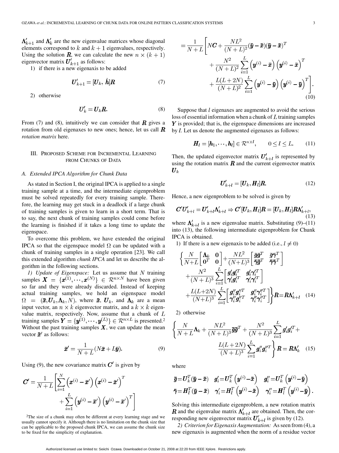$\Lambda'_{k+1}$  and  $\Lambda'_{k}$  are the new eigenvalue matrices whose diagonal elements correspond to k and  $k + 1$  eigenvalues, respectively. Using the solution  $\mathbf{R}$ , we can calculate the new  $n \times (k+1)$ eigenvector matrix  $U'_{k+1}$  as follows:

1) if there is a new eigenaxis to be added

$$
\boldsymbol{U}_{k+1}^{\prime} = [\boldsymbol{U}_k, \hat{\boldsymbol{h}}] \boldsymbol{R} \tag{7}
$$

2) otherwise

$$
U'_k = U_k R. \tag{8}
$$

From (7) and (8), intuitively we can consider that  $\boldsymbol{R}$  gives a rotation from old eigenaxes to new ones; hence, let us call  $\boldsymbol{R}$ *rotation matrix* here.

# III. PROPOSED SCHEME FOR INCREMENTAL LEARNING FROM CHUNKS OF DATA

#### *A. Extended IPCA Algorithm for Chunk Data*

As stated in Section I, the original IPCA is applied to a single training sample at a time, and the intermediate eigenproblem must be solved repeatedly for every training sample. Therefore, the learning may get stuck in a deadlock if a large chunk of training samples is given to learn in a short term. That is to say, the next chunk of training samples could come before the learning is finished if it takes a long time to update the eigenspace.

To overcome this problem, we have extended the original IPCA so that the eigenspace model  $\Omega$  can be updated with a chunk of training samples in a single operation [23]. We call this extended algorithm *chunk IPCA* and let us describe the algorithm in the following sections.

*1) Update of Eigenspace:* Let us assume that N training samples  $X = \{x^{(1)}, \dots, x^{(N)}\} \in \mathbb{R}^{n \times N}$  have been given so far and they were already discarded. Instead of keeping actual training samples, we hold an eigenspace model  $\Omega = (\bar{x}, U_k, \Lambda_k, N)$ , where  $\bar{x}, U_k$ , and  $\Lambda_k$  are a mean input vector, an  $n \times k$  eigenvector matrix, and a  $k \times k$  eigenvalue matrix, respectively. Now, assume that a chunk of  $L$ training samples  $\boldsymbol{Y} = \{ \boldsymbol{y}^{(1)}, \cdots, \boldsymbol{y}^{(L)} \} \in \mathcal{R}^{n \times L}$  is presented.<sup>2</sup> Without the past training samples  $X$ , we can update the mean vector  $\bar{x}'$  as follows:

$$
\bar{\boldsymbol{x}}' = \frac{1}{N+L}(N\bar{\boldsymbol{x}} + L\bar{\boldsymbol{y}}). \tag{9}
$$

Using (9), the new covariance matrix  $C'$  is given by

$$
C' = \frac{1}{N+L} \left[ \sum_{i=1}^{N} (\pmb{x}^{(i)} - \pmb{\bar{x}}') (\pmb{x}^{(i)} - \pmb{\bar{x}}')^T + \sum_{i=1}^{L} (\pmb{y}^{(i)} - \pmb{\bar{x}}') (\pmb{y}^{(i)} - \pmb{\bar{x}}')^T \right]
$$

2The size of a chunk may often be different at every learning stage and we usually cannot specify it. Although there is no limitation on the chunk size that can be applicable to the proposed chunk IPCA, we can assume the chunk size to be fixed for the simplicity of explanation.

$$
= \frac{1}{N+L} \Bigg[ NC + \frac{NL^2}{(N+L)^2} (\bar{\mathbf{y}} - \bar{\mathbf{x}}) (\bar{\mathbf{y}} - \bar{\mathbf{x}})^T + \frac{N^2}{(N+L)^2} \sum_{i=1}^L (\mathbf{y}^{(i)} - \bar{\mathbf{x}}) (\mathbf{y}^{(i)} - \bar{\mathbf{x}})^T + \frac{L(L+2N)}{(N+L)^2} \sum_{i=1}^L (\mathbf{y}^{(i)} - \bar{\mathbf{y}}) (\mathbf{y}^{(i)} - \bar{\mathbf{y}})^T \Bigg].
$$
\n(10)

Suppose that  $l$  eigenaxes are augmented to avoid the serious loss of essential information when a chunk of  $L$  training samples  $\boldsymbol{Y}$  is provided; that is, the eigenspace dimensions are increased by  $l$ . Let us denote the augmented eigenaxes as follows:

$$
\boldsymbol{H}_l = [\boldsymbol{h}_1, \cdots, \boldsymbol{h}_l] \in \mathcal{R}^{n \times l}, \qquad 0 \le l \le L. \tag{11}
$$

Then, the updated eigenvector matrix  $U'_{k+l}$  is represented by using the rotation matrix  $R$  and the current eigenvector matrix  $\boldsymbol{U}_k$ 

$$
\boldsymbol{U}_{k+l}^{\prime} = [\boldsymbol{U}_k, \boldsymbol{H}_l] \boldsymbol{R}.\tag{12}
$$

Hence, a new eigenproblem to be solved is given by

$$
\boldsymbol{C}'\boldsymbol{U}'_{k+l}=\boldsymbol{U}'_{k+l}\boldsymbol{\Lambda}'_{k+l}\Rightarrow \boldsymbol{C}'[\boldsymbol{U}_k,\boldsymbol{H}_l]\boldsymbol{R}=[\boldsymbol{U}_k,\boldsymbol{H}_l]\boldsymbol{R}\boldsymbol{\Lambda}'_{k+l},\quad \ \ (13)
$$

where  $\Lambda'_{k+1}$  is a new eigenvalue matrix. Substituting (9)–(11) into (13), the following intermediate eigenproblem for Chunk IPCA is obtained.

1) If there is a new eigenaxis to be added (i.e.,  $l \neq 0$ )

$$
\begin{aligned}\n&\left\{\frac{N}{N+L}\begin{bmatrix} \mathbf{\Lambda}_{k} & \mathbf{0} \\ \mathbf{0}^{T} & \mathbf{0} \end{bmatrix} + \frac{NL^{2}}{(N+L)^{3}} \begin{bmatrix} \bar{\mathbf{g}}\bar{\mathbf{g}}^{T} & \bar{\mathbf{g}}\bar{\mathbf{\gamma}}^{T} \\ \bar{\mathbf{\gamma}}\bar{\mathbf{g}}^{T} & \bar{\mathbf{\gamma}}\bar{\mathbf{\gamma}}^{T} \end{bmatrix}\right. \\
&+ \frac{N^{2}}{(N+L)^{3}} \sum_{i=1}^{L} \begin{bmatrix} \mathbf{g}_{i}^{\prime}\mathbf{g}_{i}^{\prime T} & \mathbf{g}_{i}^{\prime}\gamma_{i}^{\prime T} \\ \mathbf{\gamma}_{i}^{\prime}\mathbf{g}_{i}^{\prime T} & \mathbf{\gamma}_{i}^{\prime}\gamma_{i}^{\prime T} \end{bmatrix} \\
&+ \frac{L(L+2N)}{(N+L)^{3}} \sum_{i=1}^{L} \begin{bmatrix} \mathbf{g}_{i}^{\prime\prime}\mathbf{g}_{i}^{\prime T} & \mathbf{g}_{i}^{\prime\prime}\gamma_{i}^{\prime T} \\ \mathbf{\gamma}_{i}^{\prime\prime}\mathbf{g}_{i}^{\prime\prime T} & \mathbf{\gamma}_{i}^{\prime\prime}\gamma_{i}^{\prime T} \end{bmatrix} \right\} \mathbf{R} = \mathbf{R}\mathbf{\Lambda}_{k+l}^{\prime} \quad (14)\n\end{aligned}
$$

2) otherwise

$$
\left\{\frac{N}{N+L}\mathbf{\Lambda}_k + \frac{NL^2}{(N+L)^3}\overline{\mathbf{g}}\overline{\mathbf{g}}^T + \frac{N^2}{(N+L)^3}\sum_{i=1}^L \mathbf{g}_i'\mathbf{g}_i'^T + \frac{L(L+2N)}{(N+L)^3}\sum_{i=1}^L \mathbf{g}_i''\mathbf{g}_i'^T\right\}\mathbf{R} = \mathbf{R}\mathbf{\Lambda}_k' \quad (15)
$$

where

$$
\begin{aligned}\n\bar{\boldsymbol{g}} &= \boldsymbol{U}_k^T (\bar{\boldsymbol{y}} - \bar{\boldsymbol{x}}) & \boldsymbol{g}_i' = \boldsymbol{U}_k^T \left( \boldsymbol{y}^{(i)} - \bar{\boldsymbol{x}} \right) & \boldsymbol{g}_i'' = \boldsymbol{U}_k^T \left( \boldsymbol{y}^{(i)} - \bar{\boldsymbol{y}} \right) \\
\bar{\boldsymbol{\gamma}} &= \boldsymbol{H}_l^T (\bar{\boldsymbol{y}} - \bar{\boldsymbol{x}}) & \boldsymbol{\gamma}_i' = \boldsymbol{H}_l^T \left( \boldsymbol{y}^{(i)} - \bar{\boldsymbol{x}} \right) & \boldsymbol{\gamma}_i'' = \boldsymbol{H}_l^T \left( \boldsymbol{y}^{(i)} - \bar{\boldsymbol{y}} \right).\n\end{aligned}
$$

Solving this intermediate eigenproblem, a new rotation matrix  $\mathbf R$  and the eigenvalue matrix  $\mathbf \Lambda'_{k+l}$  are obtained. Then, the corresponding new eigenvector matrix  $U'_{k+l}$  is given by (12).

*2) Criterion for Eigenaxis Augmentation:* As seen from (4), a new eigenaxis is augmented when the norm of a residue vector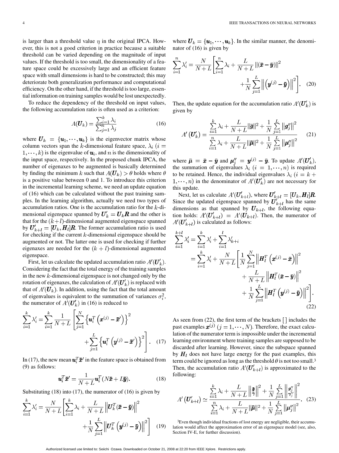is larger than a threshold value  $\eta$  in the original IPCA. However, this is not a good criterion in practice because a suitable threshold can be varied depending on the magnitude of input values. If the threshold is too small, the dimensionality of a feature space could be excessively large and an efficient feature space with small dimensions is hard to be constructed; this may deteriorate both generalization performance and computational efficiency. On the other hand, if the threshold is too large, essential information on training samples would be lost unexpectedly.

To reduce the dependency of the threshold on input values, the following accumulation ratio is often used as a criterion:

$$
A(\boldsymbol{U}_k) = \frac{\sum_{i=1}^k \lambda_i}{\sum_{j=1}^n \lambda_j}
$$
 (16)

where  $\mathbf{U}_k = {\mathbf{u}_1, \dots, \mathbf{u}_k}$  is the eigenvector matrix whose column vectors span the k-dimensional feature space,  $\lambda_i$  (i =  $(1, \dots, k)$  is the eigenvalue of  $u_i$ , and n is the dimensionality of the input space, respectively. In the proposed chunk IPCA, the number of eigenaxes to be augmented is basically determined by finding the minimum k such that  $A(U_k) > \theta$  holds where  $\theta$ is a positive value between 0 and 1. To introduce this criterion in the incremental learning scheme, we need an update equation of (16) which can be calculated without the past training samples. In the learning algorithm, actually we need two types of accumulation ratios. One is the accumulation ratio for the  $k$ -dimensional eigenspace spanned by  $U'_{k} = U_{k}R$  and the other is that for the  $(k+l)$ -dimensional augmented eigenspace spanned by  $U'_{k+l} = [U_k, H_l]R$ . The former accumulation ratio is used for checking if the current  $k$ -dimensional eigenspace should be augmented or not. The latter one is used for checking if further eigenaxes are needed for the  $(k + l)$ -dimensional augmented eigenspace.

First, let us calculate the updated accumulation ratio  $A'(U'_k)$ . Considering the fact that the total energy of the training samples in the new  $k$ -dimensional eigenspace is not changed only by the rotation of eigenaxes, the calculation of  $A'(U'_k)$  is replaced with that of  $A'(U_k)$ . In addition, using the fact that the total amount of eigenvalues is equivalent to the summation of variances  $\sigma_i^2$ , the numerator of  $A'(U'_k)$  in (16) is reduced to

$$
\sum_{i=1}^{k} \lambda'_{i} = \sum_{i=1}^{k} \frac{1}{N+L} \left[ \sum_{j=1}^{N} \left\{ \boldsymbol{u}_{i}^{T} \left( \boldsymbol{x}^{(j)} - \bar{\boldsymbol{x}}' \right) \right\}^{2} + \sum_{j=1}^{L} \left\{ \boldsymbol{u}_{i}^{T} \left( \boldsymbol{y}^{(j)} - \bar{\boldsymbol{x}}' \right) \right\}^{2} \right].
$$
 (17)

In (17), the new mean  $\mathbf{u}_i^T \bar{\mathbf{x}}'$  in the feature space is obtained from (9) as follows:

$$
\mathbf{u}_i^T \mathbf{\bar{x}}' = \frac{1}{N+L} \mathbf{u}_i^T (N\mathbf{\bar{x}} + L\mathbf{\bar{y}}).
$$
 (18)

Substituting (18) into (17), the numerator of (16) is given by

$$
\sum_{i=1}^{k} \lambda'_{i} = \frac{N}{N+L} \left| \sum_{i=1}^{k} \lambda_{i} + \frac{L}{N+L} \left\| \boldsymbol{U}_{k}^{T} (\boldsymbol{\bar{x}} - \boldsymbol{\bar{y}}) \right\|^{2} + \frac{1}{N} \sum_{j=1}^{L} \left\| \boldsymbol{U}_{k}^{T} (\boldsymbol{y}^{(j)} - \boldsymbol{\bar{y}}) \right\|^{2} \right]
$$
(19)

where  $\mathbf{U}_k = {\mathbf{u}_1, \dots, \mathbf{u}_k}$ . In the similar manner, the denominator of (16) is given by

$$
\sum_{i=1}^{n} \lambda'_{i} = \frac{N}{N+L} \left[ \sum_{i=1}^{n} \lambda_{i} + \frac{L}{N+L} ||(\bar{x} - \bar{y})||^{2} + \frac{1}{N} \sum_{j=1}^{L} ||(\bm{y}^{(j)} - \bar{\bm{y}})||^{2} \right].
$$
 (20)

Then, the update equation for the accumulation ratio  $A'(U'_k)$  is given by

$$
A'\left(\boldsymbol{U}'_{k}\right) = \frac{\sum_{i=1}^{k} \lambda_{i} + \frac{L}{N+L} ||\bar{\boldsymbol{g}}||^{2} + \frac{1}{N} \sum_{j=1}^{L} ||\boldsymbol{g}'_{j}||^{2}}{\sum_{i=1}^{n} \lambda_{i} + \frac{L}{N+L} ||\bar{\boldsymbol{\mu}}||^{2} + \frac{1}{N} \sum_{j=1}^{L} ||\boldsymbol{\mu}''_{j}||^{2}}
$$
(21)

where  $\bar{\mu} = \bar{x} - \bar{y}$  and  $\mu_i'' = y^{(j)} - \bar{y}$ . To update  $A'(U'_k)$ , the summation of eigenvalues  $\lambda_i$   $(i = 1, \dots, n)$  is required to be retained. Hence, the individual eigenvalues  $\lambda_i$  ( $i = k +$  $i_1, \dots, i_n$  in the denominator of  $A'(U'_k)$  are not necessary for this update.

Next, let us calculate  $A'(U'_{k+l})$ , where  $U'_{k+l} = [U_k, H_l]R$ . Since the updated eigenspace spanned by  $U'_{k+l}$  has the same dimensions as that spanned by  $U_{k+l}$ , the following equation holds:  $A'(U'_{k+l}) = A'(U_{k+l})$ . Then, the numerator of  $A'(U'_{k+l})$  is calculated as follows:

$$
\sum_{i=1}^{k+l} \lambda'_{i} = \sum_{i=1}^{k} \lambda'_{i} + \sum_{i=1}^{l} \lambda'_{k+i}
$$
\n
$$
= \sum_{i=1}^{k} \lambda'_{i} + \frac{N}{N+L} \left[ \frac{1}{N} \sum_{j=1}^{N} \left\| \boldsymbol{H}_{l}^{T} \left( \boldsymbol{x}^{(j)} - \bar{\boldsymbol{x}} \right) \right\|^{2} + \frac{L}{N+L} \left\| \boldsymbol{H}_{l}^{T} (\bar{\boldsymbol{x}} - \bar{\boldsymbol{y}}) \right\|^{2} + \frac{1}{N} \sum_{j=1}^{L} \left\| \boldsymbol{H}_{l}^{T} \left( \boldsymbol{y}^{(j)} - \bar{\boldsymbol{y}} \right) \right\|^{2} \right].
$$
\n(22)

As seen from  $(22)$ , the first term of the brackets  $\lceil \cdot \rceil$  includes the past examples  $\mathbf{x}^{(j)}$   $(j = 1, \cdots, N)$ . Therefore, the exact calculation of the numerator term is impossible under the incremental learning environment where training samples are supposed to be discarded after learning. However, since the subspace spanned by  $H<sub>l</sub>$  does not have large energy for the past examples, this term could be ignored as long as the threshold  $\theta$  is not too small.<sup>3</sup> Then, the accumulation ratio  $A'(U'_{k+l})$  is approximated to the following:

$$
A'\left(\boldsymbol{U}_{k+l}'\right) \simeq \frac{\sum\limits_{i=1}^{k} \lambda_i + \frac{L}{N+L} \left\| \frac{\bar{\boldsymbol{g}}}{\bar{\gamma}} \right\|^2 + \frac{1}{N} \sum\limits_{j=1}^{L} \left\| \frac{\boldsymbol{g}_{j'}''}{\gamma_{j}''} \right\|^2}{\sum\limits_{i=1}^{n} \lambda_i + \frac{L}{N+L} \|\bar{\boldsymbol{\mu}}\|^2 + \frac{1}{N} \sum\limits_{j=1}^{L} \left\| \boldsymbol{\mu}_{j'}'' \right\|^2}.
$$
 (23)

3Even though individual fractions of lost energy are negligible, their accumulation would affect the approximation error of an eigenspace model (see, also, Section IV-E, for further discussion).

Authorized licensed use limited to: Seiichi Ozawa. Downloaded on October 21, 2008 at 22:20 from IEEE Xplore. Restrictions apply.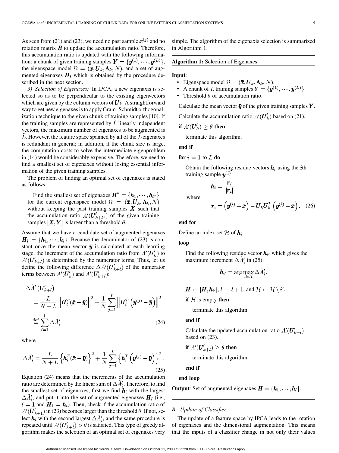As seen from (21) and (23), we need no past sample  $\mathbf{x}^{(j)}$  and no rotation matrix  $\vec{R}$  to update the accumulation ratio. Therefore, this accumulation ratio is updated with the following information: a chunk of given training samples  $Y = \{y^{(1)}, \dots, y^{(L)}\},\$ the eigenspace model  $\Omega = (\bar{x}, U_k, \Lambda_k, N)$ , and a set of augmented eigenaxes  $H_l$  which is obtained by the procedure described in the next section.

*3) Selection of Eigenaxes:* In IPCA, a new eigenaxis is selected so as to be perpendicular to the existing eigenvectors which are given by the column vectors of  $U_k$ . A straightforward way to get new eigenaxes is to apply Gram–Schmidt orthogonalization technique to the given chunk of training samples [10]. If the training samples are represented by  $L$  linearly independent vectors, the maximum number of eigenaxes to be augmented is  $L$ . However, the feature space spanned by all of the  $L$  eigenaxes is redundant in general; in addition, if the chunk size is large, the computation costs to solve the intermediate eigenproblem in (14) would be considerably expensive. Therefore, we need to find a smallest set of eigenaxes without losing essential information of the given training samples.

The problem of finding an optimal set of eigenaxes is stated as follows.

Find the smallest set of eigenaxes  $\mathbf{H}^* = \{\mathbf{h}_1, \cdots, \mathbf{h}_{l^*}\}\$ for the current eigenspace model  $\Omega = (\bar{\pmb{x}}, \pmb{U}_k, \pmb{\Lambda}_k, N)$ without keeping the past training samples  $X$  such that the accumulation ratio  $A'(U'_{k+l^*})$  of the given training samples  $[X, Y]$  is larger than a threshold  $\theta$ .

Assume that we have a candidate set of augmented eigenaxes  $H_l = \{h_1, \dots, h_l\}$ . Because the denominator of (23) is constant once the mean vector  $\bar{y}$  is calculated at each learning stage, the increment of the accumulation ratio from  $A'(U'_k)$  to  $A'(U'_{k+l})$  is determined by the numerator terms. Thus, let us define the following difference  $\Delta A'(U'_{k+l})$  of the numerator terms between  $A'(U'_k)$  and  $A'(U'_{k+l})$ :

$$
\Delta \tilde{A}' \left( \boldsymbol{U}_{k+l}' \right)
$$
\n
$$
= \frac{L}{N+L} \left\| \boldsymbol{H}_l^T (\boldsymbol{\bar{x}} - \boldsymbol{\bar{y}}) \right\|^2 + \frac{1}{N} \sum_{j=1}^L \left\| \boldsymbol{H}_l^T \left( \boldsymbol{y}^{(j)} - \boldsymbol{\bar{y}} \right) \right\|^2
$$
\n
$$
\stackrel{\text{def}}{=} \sum_{i=1}^l \Delta \tilde{A}_i' \tag{24}
$$

where

$$
\Delta \tilde{A}'_i = \frac{L}{N+L} \left\{ \boldsymbol{h}_i^T (\boldsymbol{\bar{x}} - \boldsymbol{\bar{y}}) \right\}^2 + \frac{1}{N} \sum_{j=1}^L \left\{ \boldsymbol{h}_i^T \left( \boldsymbol{y}^{(j)} - \boldsymbol{\bar{y}} \right) \right\}^2.
$$
\n(25)

Equation (24) means that the increments of the accumulation ratio are determined by the linear sum of  $\Delta \tilde{A}'_i$ . Therefore, to find the smallest set of eigenaxes, first we find  $h_i$  with the largest  $\Delta A_i$ , and put it into the set of augmented eigenaxes  $\boldsymbol{H}_i$  (i.e.,  $l = 1$  and  $H_1 = h_i$ ). Then, check if the accumulation ratio of  $A'(U_{k+1}')$  in (23) becomes larger than the threshold  $\theta$ . If not, select  $h_i$  with the second largest  $\Delta \tilde{A}'_i$ , and the same procedure is repeated until  $A'(U'_{k+l}) > \theta$  is satisfied. This type of greedy algorithm makes the selection of an optimal set of eigenaxes very

simple. The algorithm of the eigenaxis selection is summarized in Algorithm 1.

**Algorithm 1:** Selection of Eigenaxes

#### **Input**:

- Eigenspace model  $\Omega = (\bar{\pmb{x}}, \pmb{U}_k, \pmb{\Lambda}_k, N)$ .
- A chunk of L training samples  $\mathbf{Y} = {\mathbf{y}^{(1)}, \cdots, \mathbf{y}^{(L)}}$ .
- Threshold  $\theta$  of accumulation ratio.

Calculate the mean vector  $\bar{y}$  of the given training samples  $Y$ .

Calculate the accumulation ratio  $A'(U'_k)$  based on (21).

if 
$$
A'(U'_k) \geq \theta
$$
 then

terminate this algorithm.

# **end if**

$$
for i = 1 to L do
$$

Obtain the following residue vectors  $h_i$  using the *i*th training sample  $y^{(i)}$ 

$$
\mathbf{h}_i = \frac{\mathbf{r}_i}{\|\mathbf{r}_i\|}
$$

$$
\boldsymbol{r}_i = \left(\boldsymbol{y}^{(i)} - \boldsymbol{\bar{x}}\right) - \boldsymbol{U}_k \boldsymbol{U}_k^T \left(\boldsymbol{y}^{(i)} - \boldsymbol{\bar{x}}\right). \quad (26)
$$

# **end for**

where

Define an index set  $\mathcal H$  of  $\mathbf h_i$ .

## **loop**

Find the following residue vector  $h_{i'}$  which gives the maximum increment  $\Delta A_i'$  in (25):

$$
\mathbf{h}_{i'} = \arg\max_{i \in \mathcal{H}} \Delta \tilde{A}'_i.
$$

$$
\boldsymbol{H} \leftarrow [\boldsymbol{H}, \boldsymbol{h}_{i'}], l \leftarrow l+1, \text{ and } \mathcal{H} \leftarrow \mathcal{H} \setminus i'.
$$

#### **if**  $H$  is empty **then**

terminate this algorithm.

# **end if**

Calculate the updated accumulation ratio  $A'(U'_{k+l})$ based on (23).

$$
\text{if } A'(U'_{k+l}) \geq \theta \text{ then }
$$

terminate this algorithm.

**end if**

#### **end loop**

**Output**: Set of augmented eigenaxes  $H = \{h_1, \dots, h_l\}.$ 

# *B. Update of Classifier*

The update of a feature space by IPCA leads to the rotation of eigenaxes and the dimensional augmentation. This means that the inputs of a classifier change in not only their values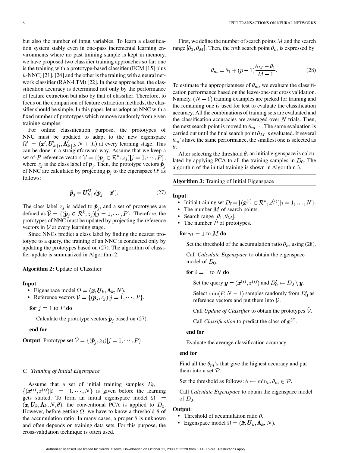but also the number of input variables. To learn a classification system stably even in one-pass incremental learning environments where no past training sample is kept in memory, we have proposed two classifier training approaches so far: one is the training with a prototype-based classifier (ECM [15] plus  $k$ -NNC) [21], [24] and the other is the training with a neural network classifier (RAN-LTM) [22]. In these approaches, the classification accuracy is determined not only by the performance of feature extraction but also by that of classifier. Therefore, to focus on the comparison of feature extraction methods, the classifier should be simple. In this paper, let us adopt an NNC with a fixed number of prototypes which remove randomly from given training samples.

For online classification purpose, the prototypes of NNC must be updated to adapt to the new eigenspace  $\Omega' = (\bar{x}', U'_{k+l}, \Lambda'_{k+l}, N+L)$  at every learning stage. This can be done in a straightforward way. Assume that we keep a set of P reference vectors  $V = \{(\boldsymbol{p}_i \in \mathcal{R}^n, z_i) | j = 1, \dots, P\},\$ where  $z_j$  is the class label of  $\boldsymbol{p}_i$ . Then, the prototype vectors  $\tilde{\boldsymbol{p}}_i$ of NNC are calculated by projecting  $p_i$  to the eigenspace  $\Omega'$  as follows:

$$
\tilde{\boldsymbol{p}}_j = \boldsymbol{U}_{k+l}^T (\boldsymbol{p}_j - \boldsymbol{\bar{x}}'). \tag{27}
$$

The class label  $z_j$  is added to  $\tilde{\mathbf{p}}_j$ , and a set of prototypes are defined as  $\tilde{\mathcal{V}} = \{(\tilde{\boldsymbol{p}}_i \in \mathcal{R}^k, z_j) | j = 1, \dots, P\}$ . Therefore, the prototypes of NNC must be updated by projecting the reference vectors in  $V$  at every learning stage.

Since NNCs predict a class label by finding the nearest prototype to a query, the training of an NNC is conducted only by updating the prototypes based on (27). The algorithm of classifier update is summarized in Algorithm 2.

**Algorithm 2:** Update of Classifier

# **Input**:

- Eigenspace model  $\Omega = (\bar{x}, U_k, \Lambda_k, N)$ .
- Reference vectors  $V = \{(\boldsymbol{p}_i, z_i) | j = 1, \dots, P\}.$

$$
for j = 1 to P do
$$

Calculate the prototype vectors  $\tilde{\boldsymbol{p}}_j$  based on (27).

# **end for**

**Output**: Prototype set  $\tilde{\mathcal{V}} = \{(\tilde{\boldsymbol{p}}_i, z_i) | j = 1, \dots, P\}.$ 

#### *C. Training of Initial Eigenspace*

Assume that a set of initial training samples  $D_0$  =  $\{(\boldsymbol{x}^{(i)}, z^{(i)})|i = 1, \cdots, N\}$  is given before the learning gets started. To form an initial eigenspace model  $\Omega$  =  $(\bar{x}, U_k, \Lambda_k, N, \theta)$ , the conventional PCA is applied to  $D_0$ . However, before getting  $\Omega$ , we have to know a threshold  $\theta$  of the accumulation ratio. In many cases, a proper  $\theta$  is unknown and often depends on training data sets. For this purpose, the cross-validation technique is often used.

First, we define the number of search points  $M$  and the search range  $[\theta_1, \theta_M]$ . Then, the mth search point  $\theta_m$  is expressed by

$$
\theta_m = \theta_1 + (p-1)\frac{\theta_M - \theta_1}{M-1}.\tag{28}
$$

To estimate the appropriateness of  $\theta_m$ , we evaluate the classification performance based on the leave-one-out cross validation. Namely,  $(N - 1)$  training examples are picked for training and the remaining one is used for test to evaluate the classification accuracy. All the combinations of training sets are evaluated and the classification accuracies are averaged over  $N$  trials. Then, the next search point is moved to  $\theta_{m+1}$ . The same evaluation is carried out until the final search point  $\theta_M$  is evaluated. If several  $\theta_m$ 's have the same performance, the smallest one is selected as  $\theta.$ 

After selecting the threshold  $\theta$ , an initial eigenspace is calculated by applying PCA to all the training samples in  $D_0$ . The algorithm of the initial training is shown in Algorithm 3.

**Algorithm 3:** Training of Initial Eigenspace

#### **Input**:

- Initial training set  $D_0 = \{(\boldsymbol{x}^{(i)} \in \mathcal{R}^n, z^{(i)}) | i = 1, \dots, N\}.$
- The number  $M$  of search points.
- Search range  $[\theta_1, \theta_M]$ .
- The number  $P$  of prototypes.

**for**  $m = 1$  to  $M$  **do** 

Set the threshold of the accumulation ratio  $\theta_m$  using (28).

Call *Calculate Eigenspace* to obtain the eigenspace model of  $D_0$ .

# **for**  $i = 1$  to  $N$  **do**

Set the query  $\mathbf{y} = (\mathbf{x}^{(i)}, z^{(i)})$  and  $D'_0 \leftarrow D_0 \setminus \mathbf{y}$ .

Select min( $P, N - 1$ ) samples randomly from  $D'_0$  as reference vectors and put them into  $V$ .

Call *Update of Classifier* to obtain the prototypes  $\tilde{V}$ .

Call *Classification* to predict the class of  $x^{(i)}$ .

#### **end for**

Evaluate the average classification accuracy.

# **end for**

Find all the  $\theta_m$ 's that give the highest accuracy and put them into a set  $P$ .

Set the threshold as follows:  $\theta \leftarrow \min_m \theta_m \in \mathcal{P}$ .

Call *Calculate Eigenspace* to obtain the eigenspace model of  $D_0$ .

#### **Output**:

- Threshold of accumulation ratio  $\theta$ .
- Eigenspace model  $\Omega = (\bar{x}, U_k, \Lambda_k, N)$ .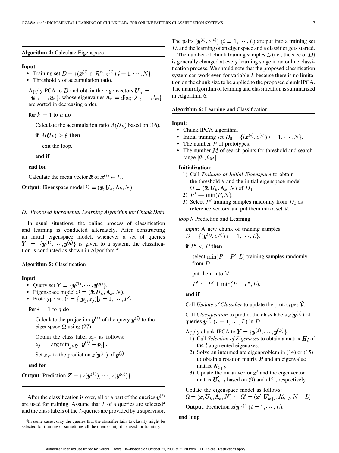## **Algorithm 4:** Calculate Eigenspace

#### **Input**:

- Training set  $D = \{(\mathbf{x}^{(i)} \in \mathcal{R}^n, z^{(i)}) | i = 1, \cdots, N\}.$
- Threshold  $\theta$  of accumulation ratio.

Apply PCA to D and obtain the eigenvectors  $U_n =$  $\{\boldsymbol{u}_1,\dots,\boldsymbol{u}_n\}$ , whose eigenvalues  $\boldsymbol{\Lambda}_n = \text{diag}\{\lambda_1,\dots,\lambda_n\}$ are sorted in decreasing order.

**for**  $k = 1$  to n **do** 

Calculate the accumulation ratio  $A(U_k)$  based on (16).

**if**  $A(U_k) \geq \theta$  then

exit the loop.

**end if**

## **end for**

Calculate the mean vector  $\bar{x}$  of  $x^{(i)} \in D$ .

**Output**: Eigenspace model  $\Omega = (\bar{x}, U_k, \Lambda_k, N)$ .

#### *D. Proposed Incremental Learning Algorithm for Chunk Data*

In usual situations, the online process of classification and learning is conducted alternately. After constructing an initial eigenspace model, whenever a set of queries  $\boldsymbol{Y} = \{\boldsymbol{y}^{(1)}, \cdots, \boldsymbol{y}^{(q)}\}$  is given to a system, the classification is conducted as shown in Algorithm 5.

# **Algorithm 5:** Classification

# **Input**:

• Query set  $Y = \{y^{(1)}, \dots, y^{(q)}\}.$ 

- Eigenspace model  $\Omega = (\bar{\pmb{x}}, \pmb{U}_k, \pmb{\Lambda}_k, N)$ .
- Prototype set  $\tilde{\mathcal{V}} = \{(\tilde{\boldsymbol{p}}_i, z_i) | j = 1, \dots, P\}.$

# **for**  $i = 1$  to q **do**

Calculate the projection  $\tilde{y}^{(i)}$  of the query  $y^{(i)}$  to the eigenspace  $\Omega$  using (27).

Obtain the class label  $z_{i^*}$  as follows:  $z_{j^*} = \arg \min_{i \in \tilde{\mathcal{V}}} ||\tilde{\boldsymbol{y}}^{(i)} - \tilde{\boldsymbol{p}}_i||.$ Set  $z_{j^*}$  to the prediction  $z(\boldsymbol{y}^{(i)})$  of  $\boldsymbol{y}^{(i)}$ .

## **end for**

**Output**: Prediction  $\mathbf{Z} = \{z(\mathbf{y}^{(1)}), \cdots, z(\mathbf{y}^{(q)})\}.$ 

After the classification is over, all or a part of the queries  $y^{(i)}$ are used for training. Assume that  $L$  of  $q$  queries are selected<sup>4</sup> and the class labels of the  $L$  queries are provided by a supervisor.

4In some cases, only the queries that the classifier fails to classify might be selected for training or sometimes all the queries might be used for training.

The pairs  $(\mathbf{y}^{(i)}, z^{(i)})$   $(i = 1, \dots, L)$  are put into a training set  $D$ , and the learning of an eigenspace and a classifier gets started.

The number of chunk training samples  $L$  (i.e., the size of  $D$ ) is generally changed at every learning stage in an online classification process. We should note that the proposed classification system can work even for variable  $L$  because there is no limitation on the chunk size to be applied to the proposed chunk IPCA. The main algorithm of learning and classification is summarized in Algorithm 6.

#### **Algorithm 6:** Learning and Classification

# **Input**:

- Chunk IPCA algorithm.
- Initial training set  $D_0 = \{(\boldsymbol{x}^{(i)}, z^{(i)}) | i = 1, \cdots, N\}.$
- The number  $P$  of prototypes.
- The number  $M$  of search points for threshold and search range  $[\theta_1, \theta_M]$ .

# **Initialization**:

- 1) Call *Training of Initial Eigenspace* to obtain the threshold  $\theta$  and the initial eigenspace model  $\Omega = (\bar{x}, \mathbf{U}_k, \mathbf{\Lambda}_k, N)$  of  $D_0$ .
- 2)  $P' \leftarrow \min(P, N)$ .
- 3) Select  $P'$  training samples randomly from  $D_0$  as reference vectors and put them into a set  $V$ .

*loop* // Prediction and Learning

*Input*: A new chunk of training samples  

$$
D = \{(\mathbf{y}^{(i)}, z^{(i)}) | i = 1, \cdots, L\}.
$$

if 
$$
P' < P
$$
 then

select  $min(P - P', L)$  training samples randomly from D

put them into  $V$ 

$$
P' \leftarrow P' + \min(P - P', L).
$$

## **end if**

Call *Update of Classifier* to update the prototypes  $\tilde{V}$ .

Call *Classification* to predict the class labels  $z(\boldsymbol{y}^{(i)})$  of queries  $y^{(i)}$   $(i = 1, \dots, L)$  in D.

- Apply chunk IPCA to  $\boldsymbol{Y} = \{\boldsymbol{y}^{(1)}, \cdots, \boldsymbol{y}^{(L)}\}$ 
	- 1) Call *Selection of Eigenaxes* to obtain a matrix  $H<sub>l</sub>$  of the  $l$  augmented eigenaxes.
	- 2) Solve an intermediate eigenproblem in (14) or (15) to obtain a rotation matrix  $R$  and an eigenvalue matrix  $\Lambda'_{k+l}$ .
	- 3) Update the mean vector  $\bar{x}'$  and the eigenvector matrix  $\mathbf{U}_{k+l}'$  based on (9) and (12), respectively.

Update the eigenspace model as follows:<br>  $\Omega = (\bar{x}, U_k, \Lambda_k, N) \leftarrow \Omega' = (\bar{x}', U'_{k+l}, \Lambda'_{k+l}, N+L)$ 

**Output**: Prediction  $z(\mathbf{y}^{(i)})$   $(i = 1, \dots, L)$ .

**end loop**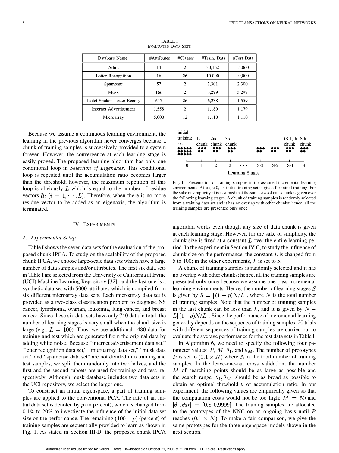| Database Name               | #Attributes | $\#Classes$    | #Train. Data | #Test Data |
|-----------------------------|-------------|----------------|--------------|------------|
| Adult                       | 14          | $\overline{2}$ | 30,162       | 15,060     |
| Letter Recognition          | 16          | 26             | 10,000       | 10,000     |
| Spambase                    | 57          | $\overline{2}$ | 2,301        | 2,300      |
| Musk                        | 166         | $\overline{2}$ | 3.299        | 3.299      |
| Isolet Spoken Letter Recog. | 617         | 26             | 6,238        | 1.559      |
| Internet Advertisement      | 1,558       | 2              | 1,180        | 1,179      |
| Microarray                  | 5,000       | 12             | 1,110        | 1,110      |

TABLE I EVALUATED DATA SETS

Because we assume a continuous learning environment, the learning in the previous algorithm never converges because a chunk of training samples is successively provided to a system forever. However, the convergence at each learning stage is easily proved. The proposed learning algorithm has only one conditional loop in *Selection of Eigenaxes*. This conditional loop is repeated until the accumulation ratio becomes larger than the threshold; however, the maximum repetition of this loop is obviously  $L$  which is equal to the number of residue vectors  $h_i$   $(i = 1, \dots, L)$ . Therefore, when there is no more residue vector to be added as an eigenaxis, the algorithm is terminated.

#### IV. EXPERIMENTS

#### *A. Experimental Setup*

Table I shows the seven data sets for the evaluation of the proposed chunk IPCA. To study on the scalability of the proposed chunk IPCA, we choose large-scale data sets which have a large number of data samples and/or attributes. The first six data sets in Table I are selected from the University of California at Irvine (UCI) Machine Learning Repository [32], and the last one is a synthetic data set with 5000 attributes which is compiled from six different microarray data sets. Each microarray data set is provided as a two-class classification problem to diagnose NS cancer, lymphoma, ovarian, leukemia, lung cancer, and breast cancer. Since these six data sets have only 740 data in total, the number of learning stages is very small when the chunk size is large (e.g.,  $L = 100$ ). Thus, we use additional 1480 data for training and test which are generated from the original data by adding white noise. Because "internet advertisement data set," "letter recognition data set," "microarray data set," "musk data set," and "spambase data set" are not divided into training and test samples, we split them randomly into two halves, and the first and the second subsets are used for training and test, respectively. Although musk database includes two data sets in the UCI repository, we select the larger one.

To construct an initial eigenspace, a part of training samples are applied to the conventional PCA. The rate of an initial data set is denoted by  $p$  (in percent), which is changed from 0.1% to 20% to investigate the influence of the initial data set size on the performance. The remaining  $(100 - p)$  (percent) of training samples are sequentially provided to learn as shown in Fig. 1. As stated in Section III-D, the proposed chunk IPCA



Fig. 1. Presentation of training samples in the assumed incremental learning environments. At stage 0, an initial training set is given for initial training. For the sake of simplicity, it is assumed that the same size of data chunk is given over the following learning stages. A chunk of training samples is randomly selected from a training data set and it has no overlap with other chunks; hence, all the training samples are presented only once.

algorithm works even though any size of data chunk is given at each learning stage. However, for the sake of simplicity, the chunk size is fixed at a constant  $L$  over the entire learning period. In the experiment in Section IV-C, to study the influence of chunk size on the performance, the constant  $L$  is changed from 5 to 100; in the other experiments,  $L$  is set to 5.

A chunk of training samples is randomly selected and it has no overlap with other chunks; hence, all the training samples are presented only once because we assume one-pass incremental learning environments. Hence, the number of learning stages  $S$ is given by  $S = [(1 - p)N/L]$ , where N is the total number of training samples. Note that the number of training samples in the last chunk can be less than  $L$ , and it is given by  $N L[(1-p)N/L]$ . Since the performance of incremental learning generally depends on the sequence of training samples, 20 trials with different sequences of training samples are carried out to evaluate the average performance for the test data sets in Table I.

In Algorithm 6, we need to specify the following four parameter values: P, M,  $\theta_1$ , and  $\theta_M$ . The number of prototypes P is set to  $(0.1 \times N)$  where N is the total number of training samples. In the leave-one-out cross validation, the number  $M$  of searching points should be as large as possible and the search range  $[\theta_1, \theta_M]$  should be as broad as possible to obtain an optimal threshold  $\theta$  of accumulation ratio. In our experiment, the following values are empirically given so that the computation costs would not be too high:  $M = 50$  and  $[\theta_1, \theta_M] = [0.8, 0.9999]$ . The training samples are allocated to the prototypes of the NNC on an ongoing basis until  $P$ reaches  $(0.1 \times N)$ . To make a fair comparison, we give the same prototypes for the three eigenspace models shown in the next section.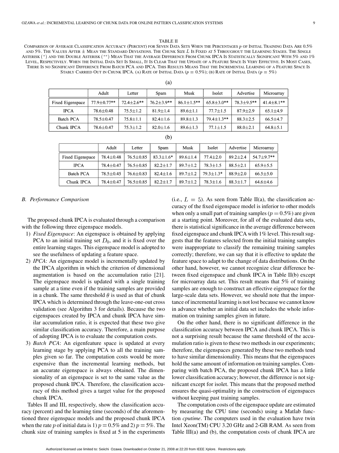#### TABLE II

COMPARISON OF AVERAGE CLASSIFICATION ACCURACY (PERCENT) FOR SEVEN DATA SETS WHEN THE PERCENTAGES p OF INITIAL TRAINING DATA ARE 0.5% AND 5%. THE VALUES AFTER  $\pm$  MEAN THE STANDARD DEVIATIONS. THE CHUNK SIZE  $L$  Is FIXED AT 5 THROUGHOUT THE LEARNING STAGES. THE SINGLE ASTERISK (\*) AND THE DOUBLE ASTERISK (\*\*) MEAN THAT THE AVERAGE DIFFERENCE FROM CHUNK IPCA IS STATISTICALLY SIGNIFICANT WITH 5% AND 1% LEVEL, RESPECTIVELY. WHEN THE INITIAL DATA SET IS SMALL, IT IS CLEAR THAT THE UPDATE OF A FEATURE SPACE IS VERY EFFECTIVE. IN MOST CASES, THERE IS NO SIGNIFICANT DIFFERENCE FROM BATCH PCA AND IPCA. THIS RESULTS MEANS THAT THE INCREMENTAL LEARNING OF A FEATURE SPACE IS STABLY CARRIED OUT IN CHUNK IPCA. (A) RATE OF INITIAL DATA  $(p = 0.5\%)$ ; (B) RATE OF INITIAL DATA  $(p = 5\%)$ 

 $(a)$ 

|                  | Adult           | Letter          | Spam           | Musk           | Isolet           | Advertise      | Microarray     |
|------------------|-----------------|-----------------|----------------|----------------|------------------|----------------|----------------|
| Fixed Eigenspace | $77.9 + 0.77**$ | $72.4 + 2.6$ ** | $76.2 + 3.9**$ | $86.1 + 1.5**$ | $65.8 \pm 3.0**$ | $78.3 + 9.5**$ | $41.4 + 8.1**$ |
| <b>IPCA</b>      | $78.6 \pm 0.48$ | $75.5 \pm 1.2$  | $81.9 \pm 1.4$ | $89.6 \pm 1.1$ | $77.7 \pm 1.5$   | $87.9 \pm 2.9$ | $65.1 \pm 4.9$ |
| Batch PCA        | $78.5 + 0.47$   | $75.8 + 1.1$    | $82.4 + 1.6$   | $89.8 \pm 1.3$ | $79.4 + 1.3**$   | $88.3 + 2.5$   | $66.5 \pm 4.7$ |
| Chunk IPCA       | $78.6 \pm 0.47$ | $75.3 \pm 1.2$  | $82.0 \pm 1.6$ | $89.6 \pm 1.3$ | $77.1 \pm 1.5$   | $88.0 \pm 2.1$ | $64.8 \pm 5.1$ |

 $(b)$ 

|                  | Adult           | Letter          | Spam            | Musk           | Isolet          | Advertise      | Microarray      |
|------------------|-----------------|-----------------|-----------------|----------------|-----------------|----------------|-----------------|
| Fixed Eigenspace | $78.4 \pm 0.48$ | $76.5 \pm 0.85$ | $83.3 \pm 1.6*$ | $89.6 \pm 1.4$ | $77.4 + 2.0$    | $89.2 + 2.4$   | $54.7 + 9.7$ ** |
| <b>IPCA</b>      | $78.4 + 0.47$   | $76.5 \pm 0.85$ | $82.2 \pm 1.7$  | $89.7 \pm 1.2$ | $78.3 \pm 1.5$  | $88.5 \pm 2.1$ | $65.9 \pm 5.5$  |
| Batch PCA        | $78.5 + 0.45$   | $76.6 \pm 0.83$ | $82.4 \pm 1.6$  | $89.7 + 1.2$   | $79.3 \pm 1.3*$ | $88.9 + 2.0$   | $66.5 \pm 5.0$  |
| Chunk IPCA       | $78.4 + 0.47$   | $76.5 \pm 0.85$ | $82.2 \pm 1.7$  | $89.7 \pm 1.2$ | $78.3 \pm 1.6$  | $88.3 \pm 1.7$ | $64.6 \pm 4.6$  |

#### *B. Performance Comparison*

The proposed chunk IPCA is evaluated through a comparison with the following three eigenspace models.

- 1) *Fixed Eigenspace*: An eigenspace is obtained by applying PCA to an initial training set  $D_0$ , and it is fixed over the entire learning stages. This eigenspace model is adopted to see the usefulness of updating a feature space.
- 2) *IPCA*: An eigenspace model is incrementally updated by the IPCA algorithm in which the criterion of dimensional augmentation is based on the accumulation ratio [21]. The eigenspace model is updated with a single training sample at a time even if the training samples are provided in a chunk. The same threshold  $\theta$  is used as that of chunk IPCA which is determined through the leave-one-out cross validation (see Algorithm 3 for details). Because the two eigenspaces created by IPCA and chunk IPCA have similar accumulation ratio, it is expected that these two give similar classification accuracy. Therefore, a main purpose of adopting IPCA is to evaluate the computation costs.
- 3) *Batch PCA*: An eigenfeature space is updated at every learning stage by applying PCA to all the training samples given so far. The computation costs would be more expensive than the incremental learning methods, but an accurate eigenspace is always obtained. The dimensionality of an eigenspace is set to the same value as the proposed chunk IPCA. Therefore, the classification accuracy of this method gives a target value for the proposed chunk IPCA.

Tables II and III, respectively, show the classification accuracy (percent) and the learning time (seconds) of the aforementioned three eigenspace models and the proposed chunk IPCA when the rate p of initial data is 1)  $p = 0.5\%$  and 2)  $p = 5\%$ . The chunk size of training samples is fixed at 5 in the experiments (i.e.,  $L = 5$ ). As seen from Table II(a), the classification accuracy of the fixed eigenspace model is inferior to other models when only a small part of training samples ( $p = 0.5\%$ ) are given at a starting point. Moreover, for all of the evaluated data sets, there is statistical significance in the average difference between fixed eigenspace and chunk IPCA with 1% level. This result suggests that the features selected from the initial training samples were inappropriate to classify the remaining training samples correctly; therefore, we can say that it is effective to update the feature space to adapt to the change of data distributions. On the other hand, however, we cannot recognize clear difference between fixed eigenspace and chunk IPCA in Table II(b) except for microarray data set. This result means that 5% of training samples are enough to construct an effective eigenspace for the large-scale data sets. However, we should note that the importance of incremental learning is not lost because we cannot know in advance whether an initial data set includes the whole information on training samples given in future.

On the other hand, there is no significant difference in the classification accuracy between IPCA and chunk IPCA. This is not a surprising result because the same threshold of the accumulation ratio is given to these two methods in our experiments; therefore, the eigenspaces generated by these two methods tend to have similar dimensionality. This means that the eigenspaces hold the same amount of information on training samples. Comparing with batch PCA, the proposed chunk IPCA has a little lower classification accuracy; however, the difference is not significant except for isolet. This means that the proposed method ensures the quasi-optimality in the construction of eigenspaces without keeping past training samples.

The computation costs of the eigenspace update are estimated by measuring the CPU time (seconds) using a Matlab function *cputime*. The computers used in the evaluation have twin Intel Xeon(TM) CPU 3.20 GHz and 2-GB RAM. As seen from Table III(a) and (b), the computation costs of chunk IPCA are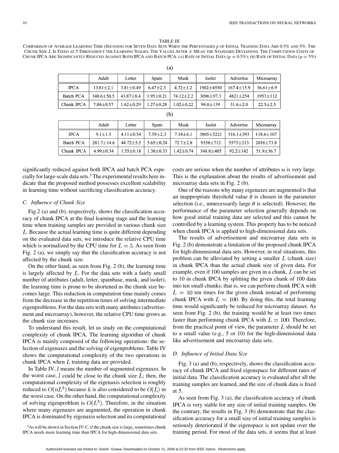TABLE III

COMPARISON OF AVERAGE LEARNING TIME (SECONDS) FOR SEVEN DATA SETS WHEN THE PERCENTAGES p OF INITIAL TRAINING DATA ARE 0.5% AND 5%. THE CHUNK SIZE  $L$  Is FIXED AT 5 THROUGHOUT THE LEARNING STAGES. THE VALUES AFTER  $\pm$  MEAN THE STANDARD DEVIATIONS. THE COMPUTATION COSTS OF CHUNK IPCA ARE SIGNIFICANTLY REDUCED AGAINST BOTH IPCA AND BATCH PCA. (A) RATE OF INITIAL DATA ( $p = 0.5\%$ ); (b) RATE OF INITIAL DATA ( $p = 5\%$ )

 $(a)$ 

|             | Adult           | Letter          | Spam            | Musk            | Isolet         | Advertise      | Microarray     |
|-------------|-----------------|-----------------|-----------------|-----------------|----------------|----------------|----------------|
| <b>IPCA</b> | $13.81 + 2.1$   | $3.81 + 0.49$   | $6.47 + 2.3$    | $4.72 \pm 1.2$  | $1902 + 4550$  | $167.4 + 15.9$ | $36.61 + 6.9$  |
| Batch PCA   | $340.6 + 50.5$  | $43.87 + 8.4$   | $1.95 + 0.21$   | $74.12 + 2.2$   | $3096 + 97.3$  | $4821 + 254$   | $1953 + 112$   |
| Chunk IPCA  | $7.04 \pm 0.57$ | $1.62 \pm 0.29$ | $1.27 \pm 0.28$ | $1.02 \pm 0.22$ | $94.8 \pm 139$ | $31.6 \pm 2.0$ | $22.5 \pm 2.5$ |

|             | Adult          | Letter          | Spam            | Musk            | Isolet          | Advertise       | Microarray      |
|-------------|----------------|-----------------|-----------------|-----------------|-----------------|-----------------|-----------------|
| <b>IPCA</b> | $9.1 \pm 1.5$  | $4.11 \pm 0.54$ | $7.59 + 2.3$    | $7.14 + 6.1$    | $3805 \pm 5221$ | $516.1 \pm 593$ | $118.6 + 107$   |
| Batch PCA   | $281.7 + 14.6$ | $44.72 \pm 5.5$ | $5.65 + 0.24$   | $72.7 + 2.8$    | $9358 \pm 712$  | $5573 \pm 213$  | $2018 + 73.8$   |
| Chunk IPCA  | $4.99 + 0.34$  | $1.55 \pm 0.18$ | $1.38 \pm 0.33$ | $1.42 \pm 0.74$ | 348.8±405       | $92.2 \pm 142$  | $51.9 \pm 36.7$ |

significantly reduced against both IPCA and batch PCA especially for large-scale data sets.5 The experimental results here indicate that the proposed method possesses excellent scalability in learning time without sacrificing classification accuracy.

#### *C. Influence of Chunk Size*

Fig.2 (a) and (b), respectively, shows the classification accuracy of chunk IPCA at the final learning stage and the learning time when training samples are provided in various chunk size . Because the actual learning time is quite different depending on the evaluated data sets, we introduce the relative CPU time which is normalized by the CPU time for  $L = 5$ . As seen from Fig. 2 (a), we simply say that the classification accuracy is not affected by the chunk size.

On the other hand, as seen from Fig. 2 (b), the learning time is largely affected by  $L$ . For the data sets with a fairly small number of attributes (adult, letter, spambase, musk, and isolet), the learning time is prone to be shortened as the chunk size becomes large. This reduction in computation time mainly comes from the decrease in the repetition times of solving intermediate eigenproblems. For the data sets with many attributes (advertisement and microarray), however, the relative CPU time grows as the chunk size increases.

To understand this result, let us study on the computational complexity of chunk IPCA. The learning algorithm of chunk IPCA is mainly composed of the following operations: the selection of eigenaxes and the solving of eigenproblems. Table IV shows the computational complexity of the two operations in chunk IPCA when  $L$  training data are provided.

In Table IV,  $l$  means the number of augmented eigenaxes. In the worst case,  $l$  could be close to the chunk size  $L$ ; then, the computational complexity of the eigenaxis selection is roughly reduced to  $O(nL^3)$  because k is also considered to be  $O(L)$  in the worst case. On the other hand, the computational complexity of solving eigenproblem is  $O(L^3)$ . Therefore, in the situation where many eigenaxes are augmented, the operation in chunk IPCA is dominated by eigenaxis selection and its computational costs are serious when the number of attributes  $n$  is very large. This is the explanation about the results of advertisement and microarray data sets in Fig. 2 (b).

One of the reasons why many eigenaxes are augmented is that an inappropriate threshold value  $\theta$  is chosen in the parameter selection (i.e., unnecessarily large  $\theta$  is selected). However, the performance of the parameter selection generally depends on how good initial training data are selected and this cannot be controlled by a learning system. This property has to be noticed when chunk IPCA is applied to high-dimensional data sets.

The results of advertisement and microarray data sets in Fig. 2 (b) demonstrate a limitation of the proposed chunk IPCA for high-dimensional data sets. However, in real situations, this problem can be alleviated by setting a smaller  $L$  (chunk size) in chunk IPCA than the actual chunk size of given data. For example, even if 100 samples are given in a chunk,  $L$  can be set to 10 in chunk IPCA by splitting the given chunk of 100 data into ten small chunks; that is, we can perform chunk IPCA with  $L = 10$  ten times for the given chunk instead of performing chunk IPCA with  $L = 100$ . By doing this, the total learning time would significantly be reduced for microarray dataset. As seen from Fig. 2 (b), the training would be at least two times faster than performing chunk IPCA with  $L = 100$ . Therefore, from the practical point of view, the parameter  $L$  should be set to a small value (e.g., 5 or 10) for the high-dimensional data like advertisement and microarray data sets.

# *D. Influence of Initial Data Size*

Fig. 3 (a) and (b), respectively, shows the classification accuracy of chunk IPCA and fixed eigenspace for different rates of initial data. The classification accuracy is evaluated after all the training samples are learned, and the size of chunk data is fixed at 5.

As seen from Fig. 3 (a), the classification accuracy of chunk IPCA is very stable for any size of initial training samples. On the contrary, the results in Fig. 3 (b) demonstrate that the classification accuracy for a small size of initial training samples is seriously deteriorated if the eigenspace is not update over the training period. For most of the data sets, it seems that at least

<sup>5</sup>As will be shown in Section IV-C, if the chunk size is large, sometimes chunk IPCA needs more learning time than IPCA for high-dimensional data sets.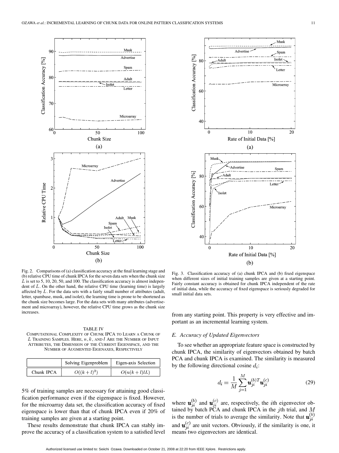



Fig. 2. Comparisons of (a) classification accuracy at the final learning stage and (b) relative CPU time of chunk IPCA for the seven data sets when the chunk size  $L$  is set to 5, 10, 20, 50, and 100. The classification accuracy is almost independent of  $L$ . On the other hand, the relative CPU time (learning time) is largely affected by L. For the data sets with a fairly small number of attributes (adult, letter, spambase, musk, and isolet), the learning time is prone to be shortened as the chunk size becomes large. For the data sets with many attributes (advertisement and microarray), however, the relative CPU time grows as the chunk size increases.

TABLE IV COMPUTATIONAL COMPLEXITY OF CHUNK IPCA TO LEARN A CHUNK OF  $L$  Training Samples. Here,  $n$ ,  $k$ , and  $l$  Are the Number of Input ATTRIBUTES, THE DIMENSION OF THE CURRENT EIGENSPACE, AND THE NUMBER OF AUGMENTED EIGENAXES, RESPECTIVELY

|            | Solving Eigenproblem | Eigen-axis Selection |
|------------|----------------------|----------------------|
| Chunk IPCA | $O((k+l)^3)$         | $O(n(k+l)lL)$        |

5% of training samples are necessary for attaining good classification performance even if the eigenspace is fixed. However, for the microarray data set, the classification accuracy of fixed eigenspace is lower than that of chunk IPCA even if 20% of training samples are given at a starting point.

These results demonstrate that chunk IPCA can stably improve the accuracy of a classification system to a satisfied level

Fig. 3. Classification accuracy of (a) chunk IPCA and (b) fixed eigenspace when different sizes of initial training samples are given at a starting point. Fairly constant accuracy is obtained for chunk IPCA independent of the rate of initial data, while the accuracy of fixed eigenspace is seriously degraded for small initial data sets.

from any starting point. This property is very effective and important as an incremental learning system.

#### *E. Accuracy of Updated Eigenvectors*

To see whether an appropriate feature space is constructed by chunk IPCA, the similarity of eigenvectors obtained by batch PCA and chunk IPCA is examined. The similarity is measured by the following directional cosine  $d_i$ :

$$
d_i = \frac{1}{M} \sum_{j=1}^{M} \mathbf{u}_{ji}^{(b)T} \mathbf{u}_{ji}^{(c)}
$$
(29)

where  $\mathbf{u}_{ii}^{(o)}$  and  $\mathbf{u}_{ii}^{(c)}$  are, respectively, the *i*th eigenvector obtained by batch PCA and chunk IPCA in the  $j$ th trial, and is the number of trials to average the similarity. Note that  $u_{ji}^{(b)}$ and  $u_{ji}^{(c)}$  are unit vectors. Obviously, if the similarity is one, it means two eigenvectors are identical.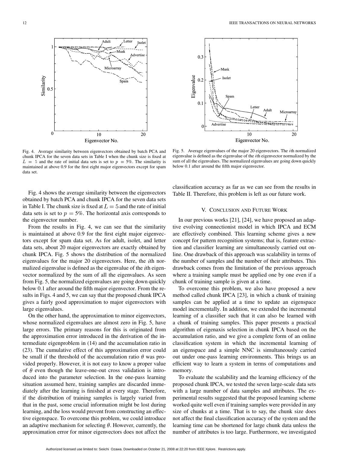

Fig. 4. Average similarity between eigenvectors obtained by batch PCA and chunk IPCA for the seven data sets in Table I when the chunk size is fixed at  $L = 5$  and the rate of initial data sets is set to  $p = 5\%$ . The similarity is maintained at above 0.9 for the first eight major eigenvectors except for spam data set.

Fig. 4 shows the average similarity between the eigenvectors obtained by batch PCA and chunk IPCA for the seven data sets in Table I. The chunk size is fixed at  $L = 5$  and the rate of initial data sets is set to  $p = 5\%$ . The horizontal axis corresponds to the eigenvector number.

From the results in Fig. 4, we can see that the similarity is maintained at above 0.9 for the first eight major eigenvectors except for spam data set. As for adult, isolet, and letter data sets, about 20 major eigenvectors are exactly obtained by chunk IPCA. Fig. 5 shows the distribution of the normalized eigenvalues for the major 20 eigenvectors. Here, the  $i$ th normalized eigenvalue is defined as the eigenvalue of the  $i$ th eigenvector normalized by the sum of all the eigenvalues. As seen from Fig. 5, the normalized eigenvalues are going down quickly below 0.1 after around the fifth major eigenvector. From the results in Figs. 4 and 5, we can say that the proposed chunk IPCA gives a fairly good approximation to major eigenvectors with large eigenvalues.

On the other hand, the approximation to minor eigenvectors, whose normalized eigenvalues are almost zero in Fig. 5, have large errors. The primary reasons for this is originated from the approximation error introduced in the derivation of the intermediate eigenproblem in (14) and the accumulation ratio in (23). The cumulative effect of this approximation error could be small if the threshold of the accumulation ratio  $\theta$  was provided properly. However, it is not easy to know a proper value of  $\theta$  even though the leave-one-out cross validation is introduced into the parameter selection. In the one-pass learning situation assumed here, training samples are discarded immediately after the learning is finished at every stage. Therefore, if the distribution of training samples is largely varied from that in the past, some crucial information might be lost during learning, and the loss would prevent from constructing an effective eigenspace. To overcome this problem, we could introduce an adaptive mechanism for selecting  $\theta$ . However, currently, the approximation error for minor eigenvectors does not affect the



Fig. 5. Average eigenvalues of the major 20 eigenvectors. The  $i$ th normalized eigenvalue is defined as the eigenvalue of the  $i$ th eigenvector normalized by the sum of all the eigenvalues. The normalized eigenvalues are going down quickly below 0.1 after around the fifth major eigenvector.

classification accuracy as far as we can see from the results in Table II. Therefore, this problem is left as our future work.

#### V. CONCLUSION AND FUTURE WORK

In our previous works [21], [24], we have proposed an adaptive evolving connectionist model in which IPCA and ECM are effectively combined. This learning scheme gives a new concept for pattern recognition systems; that is, feature extraction and classifier learning are simultaneously carried out online. One drawback of this approach was scalability in terms of the number of samples and the number of their attributes. This drawback comes from the limitation of the previous approach where a training sample must be applied one by one even if a chunk of training sample is given at a time.

To overcome this problem, we also have proposed a new method called chunk IPCA [23], in which a chunk of training samples can be applied at a time to update an eigenspace model incrementally. In addition, we extended the incremental learning of a classifier such that it can also be learned with a chunk of training samples. This paper presents a practical algorithm of eigenaxis selection in chunk IPCA based on the accumulation ratio, and we give a complete form of an online classification system in which the incremental learning of an eigenspace and a simple NNC is simultaneously carried out under one-pass learning environments. This brings us an efficient way to learn a system in terms of computations and memory.

To evaluate the scalability and the learning efficiency of the proposed chunk IPCA, we tested the seven large-scale data sets with a large number of data samples and attributes. The experimental results suggested that the proposed learning scheme worked quite well even if training samples were provided in any size of chunks at a time. That is to say, the chunk size does not affect the final classification accuracy of the system and the learning time can be shortened for large chunk data unless the number of attributes is too large. Furthermore, we investigated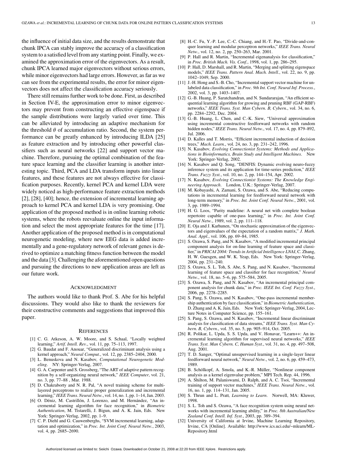the influence of initial data size, and the results demonstrate that chunk IPCA can stably improve the accuracy of a classification system to a satisfied level from any starting point. Finally, we examined the approximation error of the eigenvectors. As a result, chunk IPCA learned major eigenvectors without serious errors, while minor eigenvectors had large errors. However, as far as we can see from the experimental results, the error for minor eigenvectors does not affect the classification accuracy seriously.

There still remains further work to be done. First, as described in Section IV-E, the approximation error to minor eigenvectors may prevent from constructing an effective eigenspace if the sample distributions were largely varied over time. This can be alleviated by introducing an adaptive mechanism for the threshold  $\theta$  of accumulation ratio. Second, the system performance can be greatly enhanced by introducing ILDA [25] as feature extraction and by introducing other powerful classifiers such as neural networks [22] and support vector machine. Therefore, pursuing the optimal combination of the feature space learning and the classifier learning is another interesting topic. Third, PCA and LDA transform inputs into linear features, and these features are not always effective for classification purposes. Recently, kernel PCA and kernel LDA were widely noticed as high-performance feature extraction methods [2], [28], [40]; hence, the extension of incremental learning approach to kernel PCA and kernel LDA is very promising. One application of the proposed method is in online learning robotic systems, where the robots reevaluate online the input information and select the most appropriate features for the time [17]. Another application of the proposed method is in computational neurogenetic modeling, where new EEG data is added incrementally and a gene-regulatory network of relevant genes is derived to optimize a matching fitness function between the model and the data [3]. Challenging the aforementioned open questions and pursuing the directions to new application areas are left as our future work.

#### ACKNOWLEDGMENT

The authors would like to thank Prof. S. Abe for his helpful discussions. They would also like to thank the reviewers for their constructive comments and suggestions that improved this paper.

#### **REFERENCES**

- [1] C. G. Atkeson, A. W. Moore, and S. Schaal, "Locally weighted learning," *Artif. Intell. Rev.*, vol. 11, pp. 75–113, 1997.
- [2] G. Baudat and F. Anouar, "Generalized discriminant analysis using a kernel approach," *Neural Comput.*, vol. 12, pp. 2385–2404, 2000.
- [3] L. Benuskova and N. Kasabov*, Computational Neurogenetic Modeling*. NY: Springer-Verlag, 2007.
- [4] G. A. Carpenter and S. Grossberg, "The ART of adaptive pattern recognition by a self-organizing neural network," *IEEE Computer*, vol. 21, no. 3, pp. 77–88 , Mar. 1988.
- [5] D. Chakraborty and N. R. Pal, "A novel training scheme for multilayered perceptrons to realize proper generalization and incremental learning," *IEEE Trans. Neural Netw.*, vol. 14, no. 1, pp. 1–14, Jan. 2003.
- [6] O. Déniz, M. Castrillón, J. Lorenzo, and M. Hernández, "An incremental learning algorithm for face recognition," in *Biometric Authentication*, M. Tistarelli, J. Bigun, and A. K. Jain, Eds. New York: Springer-Verlag, 2002, pp. 1–9.
- [7] C. P. Diehl and G. Cauwenberghs, "SVM incremental learning, adaptation and optimization," in *Proc. Int. Joint Conf. Neural Netw.*, 2003, vol. 4, pp. 2685–2690.
- [8] H.-C. Fu, Y.-P. Lee, C.-C. Chiang, and H.-T. Pao, "Divide-and-conquer learning and modular perceptron networks," *IEEE Trans. Neural Netw.*, vol. 12, no. 2, pp. 250–263, Mar. 2001.
- [9] P. Hall and R. Martin, "Incremental eigenanalysis for classification," in *Proc. British Mach. Vis. Conf.*, 1998, vol. 1, pp. 286–295.
- [10] P. Hall, D. Marshall, and R. Martin, "Merging and splitting eigenspace models," *IEEE Trans. Pattern Anal. Mach. Intell.*, vol. 22, no. 9, pp. 1042–1049, Sep. 2000.
- [11] J.-H. Hong and S.-B. Cho, "Incremental support vector machine for unlabeled data classification," in *Proc. 9th Int. Conf. Neural Inf. Process.*, 2002, vol. 3, pp. 1403–1407.
- [12] G.-B. Huang, P. Saratchandran, and N. Sundararajan, "An efficient sequential learning algorithm for growing and pruning RBF (GAP-RBF) networks," *IEEE Trans. Syst. Man Cybern. B, Cybern.*, vol. 34, no. 6, pp. 2284–2292, Dec. 2004.
- [13] G.-B. Huang, L. Chen, and C.-K. Siew, "Universal approximation using incremental constructive feedforward networks with random hidden nodes," *IEEE Trans. Neural Netw.*, vol. 17, no. 4, pp. 879–892, Jul. 2006.
- [14] D. Kalles and T. Morris, "Efficient incremental induction of decision trees," *Mach. Learn.*, vol. 24, no. 3, pp. 231–242, 1996.
- [15] N. Kasabov*, Evolving Connectionist Systems: Methods and Applications in Bioinformatics, Brain Study and Intelligent Machines*. New York: Springer-Verlag, 2002.
- [16] N. Kasabov and Q. Song, "DENFIS: Dynamic evolving neuro-fuzzy inference system and its application for time-series prediction," *IEEE Trans. Fuzzy Syst.*, vol. 10, no. 2, pp. 144–154, Apr. 2002.
- [17] N. Kasabov*, Evolving Connectionist Systems: The Knowledge Engineering Approach*. London, U.K.: Springer-Verlag, 2007.
- [18] M. Kobayashi, A. Zamani, S. Ozawa, and S. Abe, "Reducing computations in incremental learning for feedforward neural network with long-term memory," in *Proc. Int. Joint Conf. Neural Netw.*, 2001, vol. 3, pp. 1989–1994.
- [19] H. G. Loos, "Parity madeline: A neural net with complete boolean repertoire capable of one-pass learning," in *Proc. Int. Joint Conf. Neural Netw.*, 1989, vol. 2, pp. 111–118.
- [20] E. Oja and J. Karhunen, "On stochastic approximation of the eigenvectors and eigenvalues of the expectation of a random matrix," *J. Math. Anal. Appl.*, vol. 106, pp. 69–84, 1985.
- [21] S. Ozawa, S. Pang, and N. Kasabov, "A modified incremental principal component analysis for on-line learning of feature space and classifier," in *PRICAI 2004: Trends in Artificial Intelligence LNAI*, C. Zhang, H. W. Guesgen, and W. K. Yeap, Eds. New York: Springer-Verlag, 2004, pp. 231–240.
- [22] S. Ozawa, S. L. Toh, S. Abe, S. Pang, and N. Kasabov, "Incremental learning of feature space and classifier for face recognition," *Neural Netw.*, vol. 18, no. 5–6, pp. 575–584, 2005.
- [23] S. Ozawa, S. Pang, and N. Kasabov, "An incremental principal component analysis for chunk data," in *Proc. IEEE Int. Conf. Fuzzy Syst.*, 2006, pp. 2278–2285.
- [24] S. Pang, S. Ozawa, and N. Kasabov, "One-pass incremental membership authentication by face classification," in *Biometric Authentication*, D. Zhang and A. K. Jain, Eds. New York: Springer-Verlag, 2004, Lecture Notes in Computer Science, pp. 155–161.
- [25] S. Pang, S. Ozawa, and N. Kasabov, "Incremental linear discriminant analysis for classification of data streams," *IEEE Trans. Syst. Man Cybern. B, Cybern.*, vol. 35, no. 5, pp. 905–914, Oct. 2005.
- [26] R. Polikar, L. Upda, S. S. Upda, and V. Honavar, "Learn++: An incremental learning algorithm for supervised neural networks," *IEEE Trans. Syst. Man Cybern. C, Human Syst.*, vol. 31, no. 4, pp. 497–508, Aug. 2001.
- [27] T. D. Sanger, "Optimal unsupervised learning in a single-layer linear feedforward neural network," *Neural Netw.*, vol. 2, no. 6, pp. 459–473, 1989.
- [28] B. Schölkopf, A. Smola, and K.-R. Müller, "Nonlinear component analysis as a kernel eigenvalue problem," MPI Tech. Rep. 44, 1996.
- [29] A. Shilton, M. Palaniswami, D. Ralph, and A. C. Tsoi, "Incremental training of support vector machines," *IEEE Trans. Neural Netw.*, vol. 16, no. 1, pp. 114–131, Jan. 2005.
- [30] S. Thrun and L. Pratt*, Learning to Learn*. Norwell, MA: Kluwer, 1998.
- [31] S. L. Toh and S. Ozawa, "A face recognition system using neural networks with incremental learning ability," in *Proc. 8th Australian/New Zealand Conf. Intell. Inf. Syst.*, 2003, pp. 389–394.
- [32] University of California at Irvine, Machine Learning Repository, Irvine, CA [Online]. Available: http://www.ics.uci.edu/~mlearn/ML-Repository.html